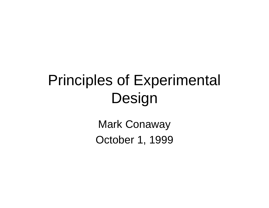# Principles of Experimental Design

Mark Conaway October 1, 1999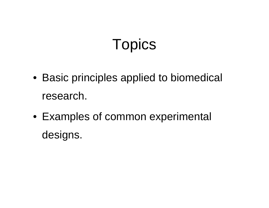# **Topics**

- Basic principles applied to biomedical research.
- Examples of common experimental designs.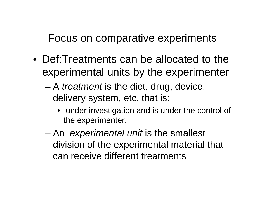Focus on comparative experiments

- Def:Treatments can be allocated to the experimental units by the experimenter
	- A *treatment* is the diet, drug, device, delivery system, etc. that is:
		- under investigation and is under the control of the experimenter.
	- An *experimental unit* is the smallest division of the experimental material that can receive different treatments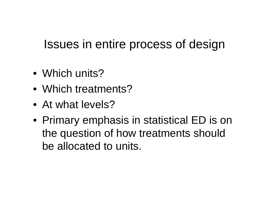## Issues in entire process of design

- Which units?
- Which treatments?
- At what levels?
- Primary emphasis in statistical ED is on the question of how treatments should be allocated to units.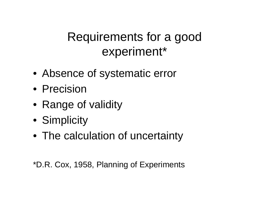## Requirements for a good experiment\*

- Absence of systematic error
- Precision
- Range of validity
- Simplicity
- The calculation of uncertainty

\*D.R. Cox, 1958, Planning of Experiments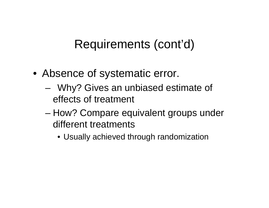## Requirements (cont'd)

- Absence of systematic error.
	- Why? Gives an unbiased estimate of effects of treatment
	- How? Compare equivalent groups under different treatments
		- Usually achieved through randomization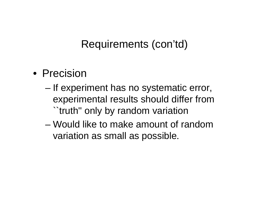#### Requirements (con'td)

- Precision
	- If experiment has no systematic error, experimental results should differ from ``truth'' only by random variation
	- Would like to make amount of random variation as small as possible.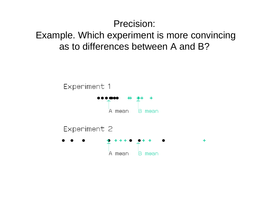#### Precision: Example. Which experiment is more convincing as to differences between A and B?

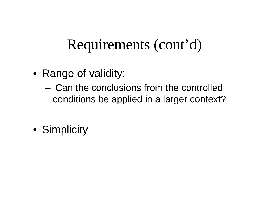# Requirements (cont'd)

- Range of validity:
	- Can the conclusions from the controlled conditions be applied in a larger context?
- Simplicity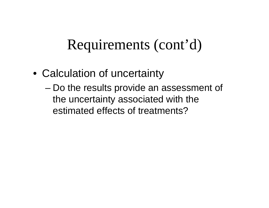## Requirements (cont'd)

- Calculation of uncertainty
	- Do the results provide an assessment of the uncertainty associated with the estimated effects of treatments?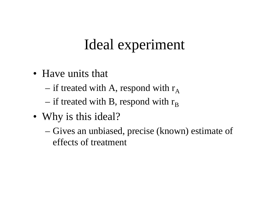# Ideal experiment

- Have units that
	- if treated with A, respond with  $r_A$
	- if treated with B, respond with  $r_{\rm B}$
- Why is this ideal?
	- Gives an unbiased, precise (known) estimate of effects of treatment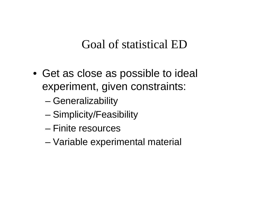### Goal of statistical ED

- Get as close as possible to ideal experiment, given constraints:
	- Generalizability
	- Simplicity/Feasibility
	- Finite resources
	- Variable experimental material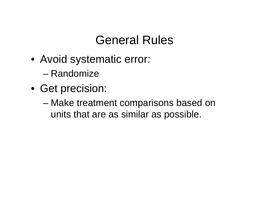## General Rules

- Avoid systematic error:
	- Randomize
- Get precision:
	- Make treatment comparisons based on units that are as similar as possible.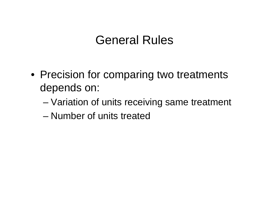### General Rules

- Precision for comparing two treatments depends on:
	- Variation of units receiving same treatment
	- Number of units treated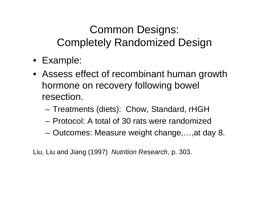### Common Designs: Completely Randomized Design

- Example:
- Assess effect of recombinant human growth hormone on recovery following bowel resection.
	- Treatments (diets): Chow, Standard, rHGH
	- Protocol: A total of 30 rats were randomized
	- Outcomes: Measure weight change,…,at day 8.

Liu, Liu and Jiang (1997) *Nutrition Research*, p. 303.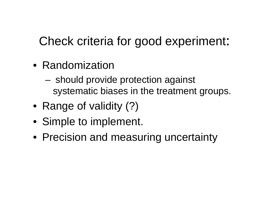## Check criteria for good experiment:

- Randomization
	- should provide protection against systematic biases in the treatment groups.
- Range of validity (?)
- Simple to implement.
- Precision and measuring uncertainty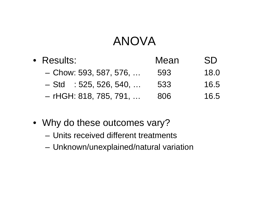## ANOVA

| • Results:               | Mean | <b>SD</b> |
|--------------------------|------|-----------|
| $-$ Chow: 593, 587, 576, | 593  | 18.0      |
| $-$ Std : 525, 526, 540, | 533  | 16.5      |
| $-$ rHGH: 818, 785, 791, | 806  | 16.5      |

- Why do these outcomes vary?
	- Units received different treatments
	- Unknown/unexplained/natural variation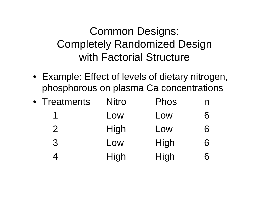### Common Designs: Completely Randomized Design with Factorial Structure

• Example: Effect of levels of dietary nitrogen, phosphorous on plasma Ca concentrations

| • Treatments   | <b>Nitro</b> | Phos | N |
|----------------|--------------|------|---|
|                | Low          | Low  | 6 |
| $\overline{2}$ | High         | Low  | 6 |
| 3              | Low          | High | 6 |
|                | High         | High | 6 |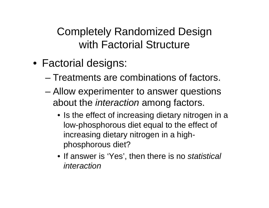### Completely Randomized Design with Factorial Structure

- Factorial designs:
	- Treatments are combinations of factors.
	- Allow experimenter to answer questions about the *interaction* among factors.
		- Is the effect of increasing dietary nitrogen in a low-phosphorous diet equal to the effect of increasing dietary nitrogen in a highphosphorous diet?
		- If answer is 'Yes', then there is no *statistical interaction*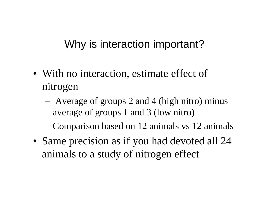#### Why is interaction important?

- With no interaction, estimate effect of nitrogen
	- Average of groups 2 and 4 (high nitro) minus average of groups 1 and 3 (low nitro)
	- Comparison based on 12 animals vs 12 animals
- Same precision as if you had devoted all 24 animals to a study of nitrogen effect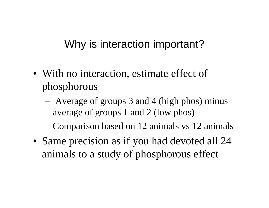### Why is interaction important?

- With no interaction, estimate effect of phosphorous
	- Average of groups 3 and 4 (high phos) minus average of groups 1 and 2 (low phos)
	- Comparison based on 12 animals vs 12 animals
- Same precision as if you had devoted all 24 animals to a study of phosphorous effect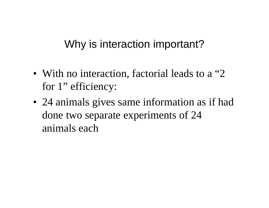### Why is interaction important?

- With no interaction, factorial leads to a "2" for 1" efficiency:
- 24 animals gives same information as if had done two separate experiments of 24 animals each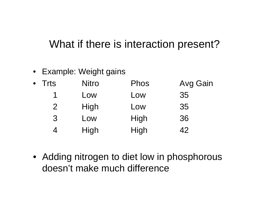#### What if there is interaction present?

• Example: Weight gains

| $\bullet$ | <b>Trts</b>    | <b>Nitro</b> | <b>Phos</b> | <b>Avg Gain</b> |
|-----------|----------------|--------------|-------------|-----------------|
|           | 1              | Low          | Low         | 35              |
|           | 2 <sup>1</sup> | High         | Low         | 35              |
|           | $\mathcal{S}$  | Low          | High        | 36              |
|           | 4              | High         | High        | 42              |

• Adding nitrogen to diet low in phosphorous doesn't make much difference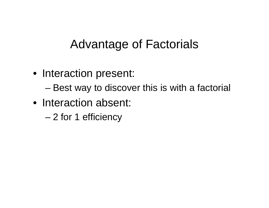## Advantage of Factorials

• Interaction present:

– Best way to discover this is with a factorial

- Interaction absent:
	- 2 for 1 efficiency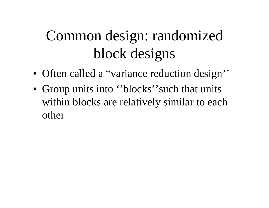- Often called a "variance reduction design"
- Group units into "blocks" such that units within blocks are relatively similar to each other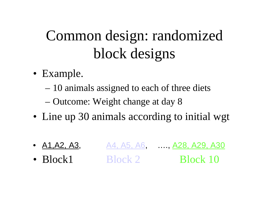- Example.
	- 10 animals assigned to each of three diets
	- Outcome: Weight change at day 8
- Line up 30 animals according to initial wgt
- $A1, A2, A3,$   $A4, A5, A6,$  …,  $A28, A29, A30$ • Block1 Block 2 Block 10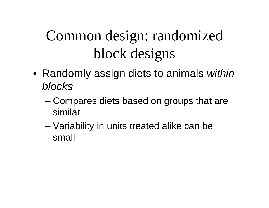- Randomly assign diets to animals *within blocks*
	- Compares diets based on groups that are similar
	- Variability in units treated alike can be small